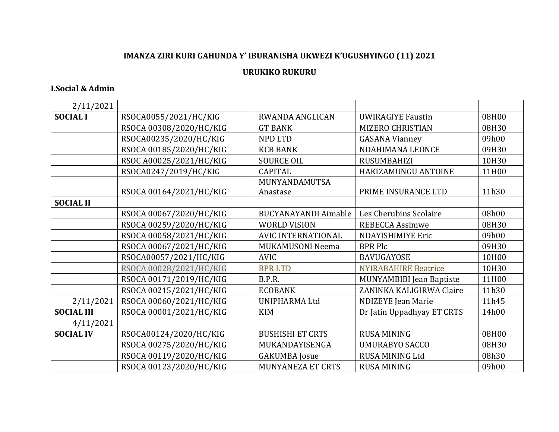## IMANZA ZIRI KURI GAHUNDA Y' IBURANISHA UKWEZI K'UGUSHYINGO (11) 2021

## **URUKIKO RUKURU**

## **I.Social & Admin**

| 2/11/2021         |                         |                             |                                 |       |
|-------------------|-------------------------|-----------------------------|---------------------------------|-------|
| <b>SOCIAL I</b>   | RSOCA0055/2021/HC/KIG   | <b>RWANDA ANGLICAN</b>      | <b>UWIRAGIYE Faustin</b>        | 08H00 |
|                   | RSOCA 00308/2020/HC/KIG | <b>GT BANK</b>              | MIZERO CHRISTIAN                | 08H30 |
|                   | RSOCA00235/2020/HC/KIG  | <b>NPD LTD</b>              | <b>GASANA Vianney</b>           | 09h00 |
|                   | RSOCA 00185/2020/HC/KIG | <b>KCB BANK</b>             | NDAHIMANA LEONCE                | 09H30 |
|                   | RSOC A00025/2021/HC/KIG | <b>SOURCE OIL</b>           | RUSUMBAHIZI                     | 10H30 |
|                   | RSOCA0247/2019/HC/KIG   | <b>CAPITAL</b>              | HAKIZAMUNGU ANTOINE             | 11H00 |
|                   |                         | MUNYANDAMUTSA               |                                 |       |
|                   | RSOCA 00164/2021/HC/KIG | Anastase                    | PRIME INSURANCE LTD             | 11h30 |
| <b>SOCIAL II</b>  |                         |                             |                                 |       |
|                   | RSOCA 00067/2020/HC/KIG | <b>BUCYANAYANDI Aimable</b> | Les Cherubins Scolaire          | 08h00 |
|                   | RSOCA 00259/2020/HC/KIG | <b>WORLD VISION</b>         | <b>REBECCA Assimwe</b>          | 08H30 |
|                   | RSOCA 00058/2021/HC/KIG | AVIC INTERNATIONAL          | <b>NDAYISHIMIYE Eric</b>        | 09h00 |
|                   | RSOCA 00067/2021/HC/KIG | MUKAMUSONI Neema            | <b>BPR Plc</b>                  | 09H30 |
|                   | RSOCA00057/2021/HC/KIG  | <b>AVIC</b>                 | <b>BAVUGAYOSE</b>               | 10H00 |
|                   | RSOCA 00028/2021/HC/KIG | <b>BPRLTD</b>               | <b>NYIRABAHIRE Beatrice</b>     | 10H30 |
|                   | RSOCA 00171/2019/HC/KIG | B.P.R.                      | <b>MUNYAMBIBI Jean Baptiste</b> | 11H00 |
|                   | RSOCA 00215/2021/HC/KIG | <b>ECOBANK</b>              | ZANINKA KALIGIRWA Claire        | 11h30 |
| 2/11/2021         | RSOCA 00060/2021/HC/KIG | <b>UNIPHARMA Ltd</b>        | NDIZEYE Jean Marie              | 11h45 |
| <b>SOCIAL III</b> | RSOCA 00001/2021/HC/KIG | <b>KIM</b>                  | Dr Jatin Uppadhyay ET CRTS      | 14h00 |
| 4/11/2021         |                         |                             |                                 |       |
| <b>SOCIAL IV</b>  | RSOCA00124/2020/HC/KIG  | <b>BUSHISHI ET CRTS</b>     | <b>RUSA MINING</b>              | 08H00 |
|                   | RSOCA 00275/2020/HC/KIG | MUKANDAYISENGA              | <b>UMURABYO SACCO</b>           | 08H30 |
|                   | RSOCA 00119/2020/HC/KIG | <b>GAKUMBA</b> Josue        | <b>RUSA MINING Ltd</b>          | 08h30 |
|                   | RSOCA 00123/2020/HC/KIG | <b>MUNYANEZA ET CRTS</b>    | <b>RUSA MINING</b>              | 09h00 |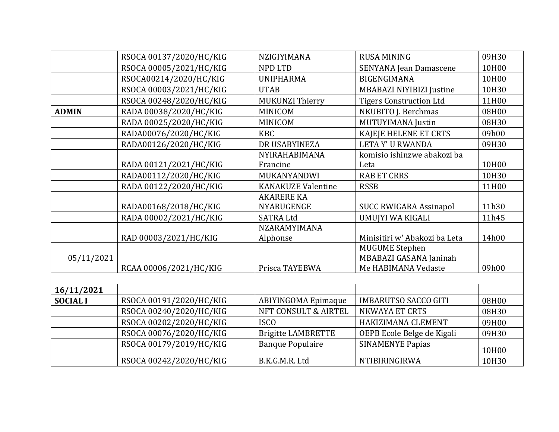|                 | RSOCA 00137/2020/HC/KIG | NZIGIYIMANA                | <b>RUSA MINING</b>                              | 09H30 |
|-----------------|-------------------------|----------------------------|-------------------------------------------------|-------|
|                 | RSOCA 00005/2021/HC/KIG | <b>NPD LTD</b>             | SENYANA Jean Damascene                          | 10H00 |
|                 | RSOCA00214/2020/HC/KIG  | <b>UNIPHARMA</b>           | <b>BIGENGIMANA</b>                              | 10H00 |
|                 | RSOCA 00003/2021/HC/KIG | <b>UTAB</b>                | MBABAZI NIYIBIZI Justine                        | 10H30 |
|                 | RSOCA 00248/2020/HC/KIG | MUKUNZI Thierry            | <b>Tigers Construction Ltd</b>                  | 11H00 |
| <b>ADMIN</b>    | RADA 00038/2020/HC/KIG  | <b>MINICOM</b>             | NKUBITO J. Berchmas                             | 08H00 |
|                 | RADA 00025/2020/HC/KIG  | <b>MINICOM</b>             | MUTUYIMANA Justin                               | 08H30 |
|                 | RADA00076/2020/HC/KIG   | <b>KBC</b>                 | KAJEJE HELENE ET CRTS                           | 09h00 |
|                 | RADA00126/2020/HC/KIG   | DR USABYINEZA              | <b>LETAY' U RWANDA</b>                          | 09H30 |
|                 |                         | NYIRAHABIMANA              | komisio ishinzwe abakozi ba                     |       |
|                 | RADA 00121/2021/HC/KIG  | Francine                   | Leta                                            | 10H00 |
|                 | RADA00112/2020/HC/KIG   | MUKANYANDWI                | <b>RAB ET CRRS</b>                              | 10H30 |
|                 | RADA 00122/2020/HC/KIG  | <b>KANAKUZE Valentine</b>  | <b>RSSB</b>                                     | 11H00 |
|                 |                         | <b>AKARERE KA</b>          |                                                 |       |
|                 | RADA00168/2018/HC/KIG   | NYARUGENGE                 | <b>SUCC RWIGARA Assinapol</b>                   | 11h30 |
|                 | RADA 00002/2021/HC/KIG  | <b>SATRA Ltd</b>           | UMUJYI WA KIGALI                                | 11h45 |
|                 |                         | NZARAMYIMANA               |                                                 |       |
|                 | RAD 00003/2021/HC/KIG   | Alphonse                   | Minisitiri w' Abakozi ba Leta                   | 14h00 |
| 05/11/2021      |                         |                            | <b>MUGUME Stephen</b><br>MBABAZI GASANA Janinah |       |
|                 | RCAA 00006/2021/HC/KIG  | Prisca TAYEBWA             | Me HABIMANA Vedaste                             | 09h00 |
|                 |                         |                            |                                                 |       |
| 16/11/2021      |                         |                            |                                                 |       |
| <b>SOCIAL I</b> | RSOCA 00191/2020/HC/KIG | <b>ABIYINGOMA Epimaque</b> | <b>IMBARUTSO SACCO GITI</b>                     | 08H00 |
|                 | RSOCA 00240/2020/HC/KIG | NFT CONSULT & AIRTEL       | <b>NKWAYA ET CRTS</b>                           | 08H30 |
|                 | RSOCA 00202/2020/HC/KIG | <b>ISCO</b>                | HAKIZIMANA CLEMENT                              | 09H00 |
|                 | RSOCA 00076/2020/HC/KIG | <b>Brigitte LAMBRETTE</b>  | OEPB Ecole Belge de Kigali                      | 09H30 |
|                 | RSOCA 00179/2019/HC/KIG | <b>Banque Populaire</b>    | <b>SINAMENYE Papias</b>                         | 10H00 |
|                 | RSOCA 00242/2020/HC/KIG | B.K.G.M.R. Ltd             | NTIBIRINGIRWA                                   | 10H30 |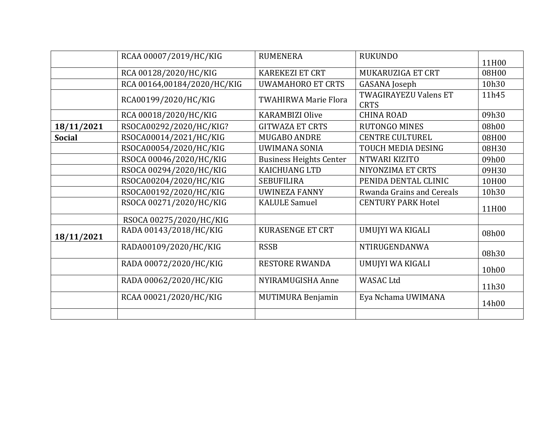|               | RCAA 00007/2019/HC/KIG      | <b>RUMENERA</b>                | <b>RUKUNDO</b>                       | 11H00 |
|---------------|-----------------------------|--------------------------------|--------------------------------------|-------|
|               | RCA 00128/2020/HC/KIG       | <b>KAREKEZI ET CRT</b>         | MUKARUZIGA ET CRT                    | 08H00 |
|               | RCA 00164,00184/2020/HC/KIG | <b>UWAMAHORO ET CRTS</b>       | GASANA Joseph                        | 10h30 |
|               | RCA00199/2020/HC/KIG        | <b>TWAHIRWA Marie Flora</b>    | TWAGIRAYEZU Valens ET<br><b>CRTS</b> | 11h45 |
|               | RCA 00018/2020/HC/KIG       | <b>KARAMBIZI Olive</b>         | <b>CHINA ROAD</b>                    | 09h30 |
| 18/11/2021    | RSOCA00292/2020/HC/KIG?     | <b>GITWAZA ET CRTS</b>         | <b>RUTONGO MINES</b>                 | 08h00 |
| <b>Social</b> | RSOCA00014/2021/HC/KIG      | MUGABO ANDRE                   | <b>CENTRE CULTUREL</b>               | 08H00 |
|               | RSOCA00054/2020/HC/KIG      | <b>UWIMANA SONIA</b>           | TOUCH MEDIA DESING                   | 08H30 |
|               | RSOCA 00046/2020/HC/KIG     | <b>Business Heights Center</b> | NTWARI KIZITO                        | 09h00 |
|               | RSOCA 00294/2020/HC/KIG     | <b>KAICHUANG LTD</b>           | NIYONZIMA ET CRTS                    | 09H30 |
|               | RSOCA00204/2020/HC/KIG      | <b>SEBUFILIRA</b>              | PENIDA DENTAL CLINIC                 | 10H00 |
|               | RSOCA00192/2020/HC/KIG      | <b>UWINEZA FANNY</b>           | Rwanda Grains and Cereals            | 10h30 |
|               | RSOCA 00271/2020/HC/KIG     | <b>KALULE Samuel</b>           | <b>CENTURY PARK Hotel</b>            | 11H00 |
|               | RSOCA 00275/2020/HC/KIG     |                                |                                      |       |
| 18/11/2021    | RADA 00143/2018/HC/KIG      | <b>KURASENGE ET CRT</b>        | UMUJYI WA KIGALI                     | 08h00 |
|               | RADA00109/2020/HC/KIG       | <b>RSSB</b>                    | NTIRUGENDANWA                        | 08h30 |
|               | RADA 00072/2020/HC/KIG      | <b>RESTORE RWANDA</b>          | UMUJYI WA KIGALI                     | 10h00 |
|               | RADA 00062/2020/HC/KIG      | NYIRAMUGISHA Anne              | <b>WASAC Ltd</b>                     | 11h30 |
|               | RCAA 00021/2020/HC/KIG      | <b>MUTIMURA Benjamin</b>       | Eya Nchama UWIMANA                   | 14h00 |
|               |                             |                                |                                      |       |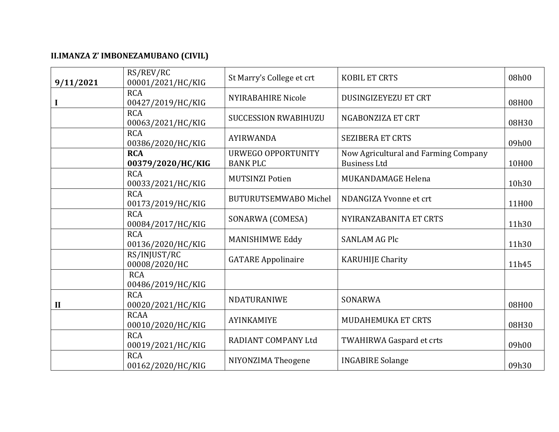## II.IMANZA Z' IMBONEZAMUBANO (CIVIL)

| 9/11/2021 | RS/REV/RC<br>00001/2021/HC/KIG   | St Marry's College et crt                    | <b>KOBIL ET CRTS</b>                                        | 08h00 |
|-----------|----------------------------------|----------------------------------------------|-------------------------------------------------------------|-------|
|           | <b>RCA</b><br>00427/2019/HC/KIG  | <b>NYIRABAHIRE Nicole</b>                    | <b>DUSINGIZEYEZU ET CRT</b>                                 | 08H00 |
|           | <b>RCA</b><br>00063/2021/HC/KIG  | <b>SUCCESSION RWABIHUZU</b>                  | NGABONZIZA ET CRT                                           | 08H30 |
|           | <b>RCA</b><br>00386/2020/HC/KIG  | <b>AYIRWANDA</b>                             | <b>SEZIBERA ET CRTS</b>                                     | 09h00 |
|           | <b>RCA</b><br>00379/2020/HC/KIG  | <b>URWEGO OPPORTUNITY</b><br><b>BANK PLC</b> | Now Agricultural and Farming Company<br><b>Business Ltd</b> | 10H00 |
|           | <b>RCA</b><br>00033/2021/HC/KIG  | <b>MUTSINZI Potien</b>                       | MUKANDAMAGE Helena                                          | 10h30 |
|           | <b>RCA</b><br>00173/2019/HC/KIG  | <b>BUTURUTSEMWABO Michel</b>                 | NDANGIZA Yvonne et crt                                      | 11H00 |
|           | <b>RCA</b><br>00084/2017/HC/KIG  | SONARWA (COMESA)                             | NYIRANZABANITA ET CRTS                                      | 11h30 |
|           | <b>RCA</b><br>00136/2020/HC/KIG  | MANISHIMWE Eddy                              | <b>SANLAM AG Plc</b>                                        | 11h30 |
|           | RS/INJUST/RC<br>00008/2020/HC    | <b>GATARE Appolinaire</b>                    | <b>KARUHIJE Charity</b>                                     | 11h45 |
|           | <b>RCA</b><br>00486/2019/HC/KIG  |                                              |                                                             |       |
| $\bf{II}$ | <b>RCA</b><br>00020/2021/HC/KIG  | NDATURANIWE                                  | SONARWA                                                     | 08H00 |
|           | <b>RCAA</b><br>00010/2020/HC/KIG | <b>AYINKAMIYE</b>                            | MUDAHEMUKA ET CRTS                                          | 08H30 |
|           | <b>RCA</b><br>00019/2021/HC/KIG  | RADIANT COMPANY Ltd                          | TWAHIRWA Gaspard et crts                                    | 09h00 |
|           | <b>RCA</b><br>00162/2020/HC/KIG  | NIYONZIMA Theogene                           | <b>INGABIRE Solange</b>                                     | 09h30 |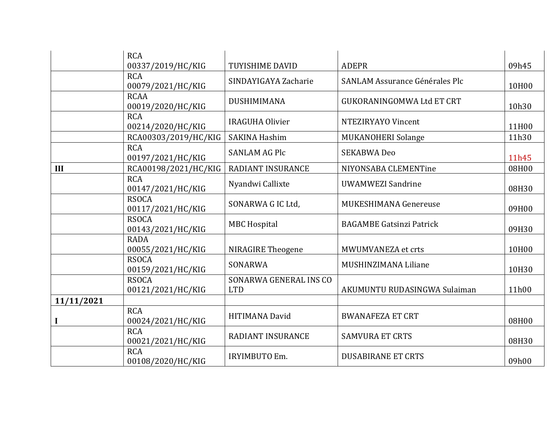|            | <b>RCA</b>                        |                                      |                                  |       |
|------------|-----------------------------------|--------------------------------------|----------------------------------|-------|
|            | 00337/2019/HC/KIG                 | <b>TUYISHIME DAVID</b>               | <b>ADEPR</b>                     | 09h45 |
|            | <b>RCA</b><br>00079/2021/HC/KIG   | SINDAYIGAYA Zacharie                 | SANLAM Assurance Générales Plc   | 10H00 |
|            | <b>RCAA</b><br>00019/2020/HC/KIG  | DUSHIMIMANA                          | <b>GUKORANINGOMWA Ltd ET CRT</b> | 10h30 |
|            | <b>RCA</b><br>00214/2020/HC/KIG   | <b>IRAGUHA Olivier</b>               | NTEZIRYAYO Vincent               | 11H00 |
|            | RCA00303/2019/HC/KIG              | <b>SAKINA Hashim</b>                 | MUKANOHERI Solange               | 11h30 |
|            | <b>RCA</b><br>00197/2021/HC/KIG   | <b>SANLAM AG Plc</b>                 | <b>SEKABWA Deo</b>               | 11h45 |
| III        | RCA00198/2021/HC/KIG              | <b>RADIANT INSURANCE</b>             | NIYONSABA CLEMENTine             | 08H00 |
|            | <b>RCA</b><br>00147/2021/HC/KIG   | Nyandwi Callixte                     | <b>UWAMWEZI Sandrine</b>         | 08H30 |
|            | <b>RSOCA</b><br>00117/2021/HC/KIG | SONARWA G IC Ltd,                    | MUKESHIMANA Genereuse            | 09H00 |
|            | <b>RSOCA</b><br>00143/2021/HC/KIG | <b>MBC Hospital</b>                  | <b>BAGAMBE Gatsinzi Patrick</b>  | 09H30 |
|            | <b>RADA</b><br>00055/2021/HC/KIG  | <b>NIRAGIRE Theogene</b>             | MWUMVANEZA et crts               | 10H00 |
|            | <b>RSOCA</b><br>00159/2021/HC/KIG | SONARWA                              | MUSHINZIMANA Liliane             | 10H30 |
|            | <b>RSOCA</b><br>00121/2021/HC/KIG | SONARWA GENERAL INS CO<br><b>LTD</b> | AKUMUNTU RUDASINGWA Sulaiman     | 11h00 |
| 11/11/2021 |                                   |                                      |                                  |       |
|            | <b>RCA</b><br>00024/2021/HC/KIG   | <b>HITIMANA David</b>                | <b>BWANAFEZA ET CRT</b>          | 08H00 |
|            | <b>RCA</b><br>00021/2021/HC/KIG   | RADIANT INSURANCE                    | <b>SAMVURA ET CRTS</b>           | 08H30 |
|            | <b>RCA</b><br>00108/2020/HC/KIG   | <b>IRYIMBUTO Em.</b>                 | <b>DUSABIRANE ET CRTS</b>        | 09h00 |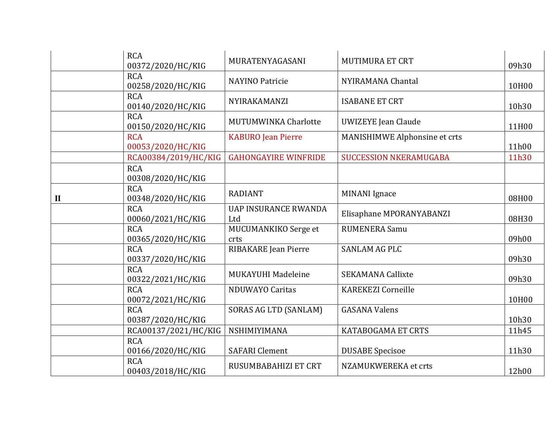|              | <b>RCA</b><br>00372/2020/HC/KIG | MURATENYAGASANI                    | <b>MUTIMURA ET CRT</b>        | 09h30 |
|--------------|---------------------------------|------------------------------------|-------------------------------|-------|
|              | <b>RCA</b><br>00258/2020/HC/KIG | <b>NAYINO Patricie</b>             | NYIRAMANA Chantal             | 10H00 |
|              | <b>RCA</b><br>00140/2020/HC/KIG | NYIRAKAMANZI                       | <b>ISABANE ET CRT</b>         | 10h30 |
|              | <b>RCA</b><br>00150/2020/HC/KIG | MUTUMWINKA Charlotte               | <b>UWIZEYE Jean Claude</b>    | 11H00 |
|              | <b>RCA</b><br>00053/2020/HC/KIG | <b>KABURO</b> Jean Pierre          | MANISHIMWE Alphonsine et crts | 11h00 |
|              | RCA00384/2019/HC/KIG            | <b>GAHONGAYIRE WINFRIDE</b>        | <b>SUCCESSION NKERAMUGABA</b> | 11h30 |
|              | <b>RCA</b><br>00308/2020/HC/KIG |                                    |                               |       |
| $\mathbf{I}$ | <b>RCA</b><br>00348/2020/HC/KIG | <b>RADIANT</b>                     | <b>MINANI</b> Ignace          | 08H00 |
|              | <b>RCA</b><br>00060/2021/HC/KIG | <b>UAP INSURANCE RWANDA</b><br>Ltd | Elisaphane MPORANYABANZI      | 08H30 |
|              | <b>RCA</b><br>00365/2020/HC/KIG | MUCUMANKIKO Serge et<br>crts       | <b>RUMENERA Samu</b>          | 09h00 |
|              | <b>RCA</b><br>00337/2020/HC/KIG | RIBAKARE Jean Pierre               | <b>SANLAM AG PLC</b>          | 09h30 |
|              | <b>RCA</b><br>00322/2021/HC/KIG | MUKAYUHI Madeleine                 | <b>SEKAMANA Callixte</b>      | 09h30 |
|              | <b>RCA</b><br>00072/2021/HC/KIG | <b>NDUWAYO Caritas</b>             | <b>KAREKEZI Corneille</b>     | 10H00 |
|              | <b>RCA</b><br>00387/2020/HC/KIG | <b>SORAS AG LTD (SANLAM)</b>       | <b>GASANA Valens</b>          | 10h30 |
|              | RCA00137/2021/HC/KIG            | NSHIMIYIMANA                       | KATABOGAMA ET CRTS            | 11h45 |
|              | <b>RCA</b><br>00166/2020/HC/KIG | <b>SAFARI</b> Clement              | <b>DUSABE</b> Specisoe        | 11h30 |
|              | <b>RCA</b><br>00403/2018/HC/KIG | RUSUMBABAHIZI ET CRT               | NZAMUKWEREKA et crts          | 12h00 |